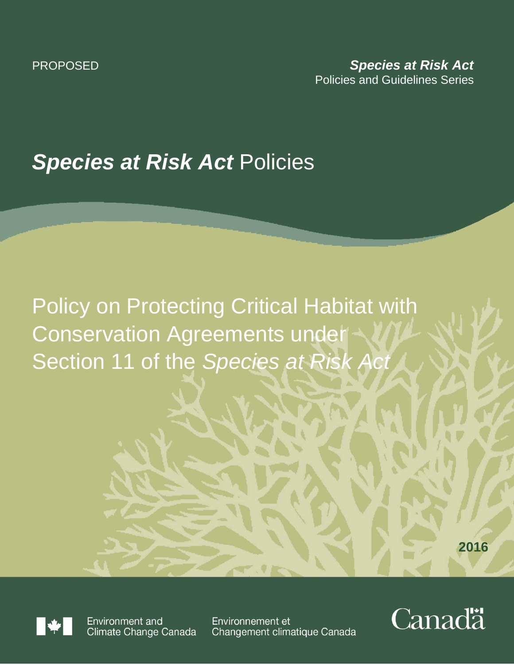## *Species at Risk Act* Policies

# Policy on Protecting Critical Habitat with Conservation Agreements under Section 11 of the *Species at Risk Act*

**2016**



Environment and Climate Change Canada

Environnement et Changement climatique Canada

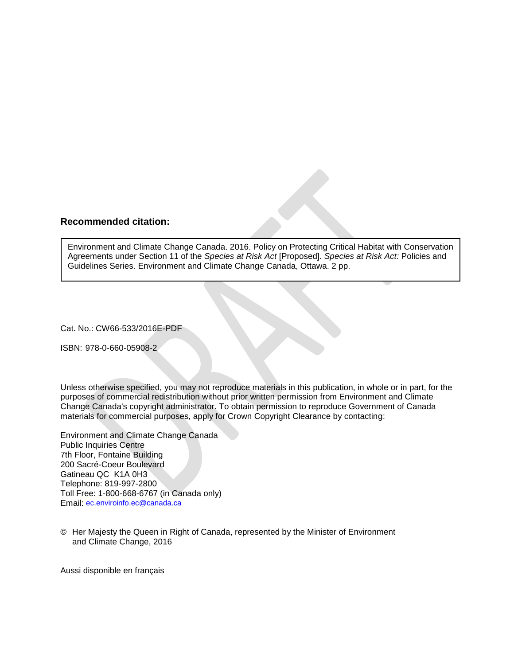#### **Recommended citation:**

Environment and Climate Change Canada. 2016. Policy on Protecting Critical Habitat with Conservation Agreements under Section 11 of the *Species at Risk Act* [Proposed]. *Species at Risk Act:* Policies and Guidelines Series. Environment and Climate Change Canada, Ottawa. 2 pp.

Cat. No.: CW66-533/2016E-PDF

ISBN: 978-0-660-05908-2

Unless otherwise specified, you may not reproduce materials in this publication, in whole or in part, for the purposes of commercial redistribution without prior written permission from Environment and Climate Change Canada's copyright administrator. To obtain permission to reproduce Government of Canada materials for commercial purposes, apply for Crown Copyright Clearance by contacting:

Environment and Climate Change Canada Public Inquiries Centre 7th Floor, Fontaine Building 200 Sacré-Coeur Boulevard Gatineau QC K1A 0H3 Telephone: 819-997-2800 Toll Free: 1-800-668-6767 (in Canada only) Email: [ec.enviroinfo.ec@canada.ca](mailto:ec.enviroinfo.ec@canada.ca)

© Her Majesty the Queen in Right of Canada, represented by the Minister of Environment and Climate Change, 2016

Aussi disponible en français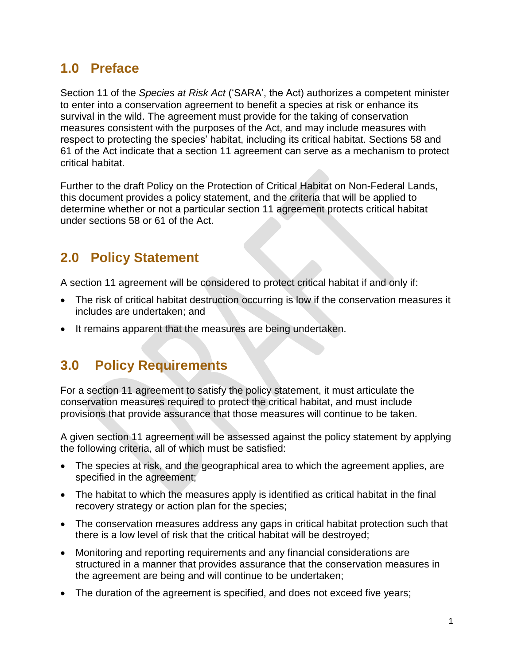#### **1.0 Preface**

Section 11 of the *Species at Risk Act* ('SARA', the Act) authorizes a competent minister to enter into a conservation agreement to benefit a species at risk or enhance its survival in the wild. The agreement must provide for the taking of conservation measures consistent with the purposes of the Act, and may include measures with respect to protecting the species' habitat, including its critical habitat. Sections 58 and 61 of the Act indicate that a section 11 agreement can serve as a mechanism to protect critical habitat.

Further to the draft Policy on the Protection of Critical Habitat on Non-Federal Lands, this document provides a policy statement, and the criteria that will be applied to determine whether or not a particular section 11 agreement protects critical habitat under sections 58 or 61 of the Act.

### **2.0 Policy Statement**

A section 11 agreement will be considered to protect critical habitat if and only if:

- The risk of critical habitat destruction occurring is low if the conservation measures it includes are undertaken; and
- It remains apparent that the measures are being undertaken.

### **3.0 Policy Requirements**

For a section 11 agreement to satisfy the policy statement, it must articulate the conservation measures required to protect the critical habitat, and must include provisions that provide assurance that those measures will continue to be taken.

A given section 11 agreement will be assessed against the policy statement by applying the following criteria, all of which must be satisfied:

- The species at risk, and the geographical area to which the agreement applies, are specified in the agreement;
- The habitat to which the measures apply is identified as critical habitat in the final recovery strategy or action plan for the species;
- The conservation measures address any gaps in critical habitat protection such that there is a low level of risk that the critical habitat will be destroyed;
- Monitoring and reporting requirements and any financial considerations are structured in a manner that provides assurance that the conservation measures in the agreement are being and will continue to be undertaken;
- The duration of the agreement is specified, and does not exceed five years;